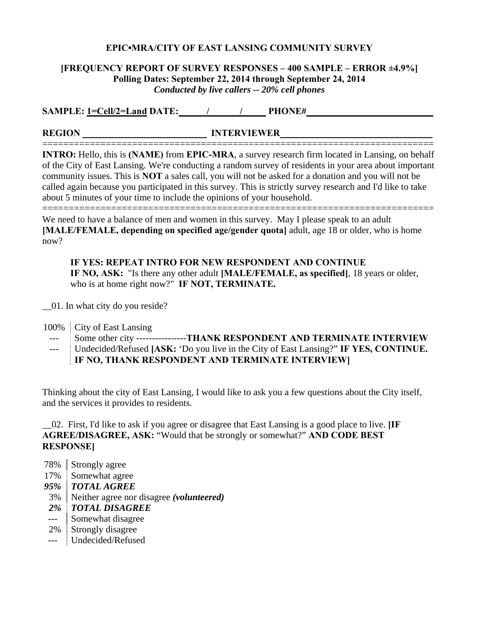#### **EPIC▪MRA/CITY OF EAST LANSING COMMUNITY SURVEY**

## **[FREQUENCY REPORT OF SURVEY RESPONSES – 400 SAMPLE – ERROR ±4.9%] Polling Dates: September 22, 2014 through September 24, 2014**  *Conducted by live callers -- 20% cell phones*

**SAMPLE:** 1=Cell/2=Land DATE: \_\_\_\_\_\_/ \_\_\_\_\_\_\_\_\_\_\_\_\_\_ PHONE# \_\_\_\_\_\_\_\_\_\_\_\_\_\_\_\_\_\_\_\_\_

**REGION \_\_\_\_\_\_\_\_\_\_\_\_\_\_\_\_\_\_\_\_\_\_\_\_\_\_ INTERVIEWER \_\_\_\_\_\_\_\_\_\_ \_\_\_\_\_**

========================================================================== **INTRO:** Hello, this is **(NAME)** from **EPIC-MRA**, a survey research firm located in Lansing, on behalf of the City of East Lansing. We're conducting a random survey of residents in your area about important community issues. This is **NOT** a sales call, you will not be asked for a donation and you will not be called again because you participated in this survey. This is strictly survey research and I'd like to take about 5 minutes of your time to include the opinions of your household.

========================================================================== We need to have a balance of men and women in this survey. May I please speak to an adult **[MALE/FEMALE, depending on specified age/gender quota]** adult, age 18 or older, who is home now?

**IF YES: REPEAT INTRO FOR NEW RESPONDENT AND CONTINUE IF NO, ASK:** "Is there any other adult **[MALE/FEMALE, as specified]**, 18 years or older, who is at home right now?" **IF NOT, TERMINATE.**

\_\_01. In what city do you reside?

100% City of East Lansing

--- Some other city ----------------**THANK RESPONDENT AND TERMINATE INTERVIEW**

--- Undecided/Refused **[ASK:** 'Do you live in the City of East Lansing?" **IF YES, CONTINUE. IF NO, THANK RESPONDENT AND TERMINATE INTERVIEW]**

Thinking about the city of East Lansing, I would like to ask you a few questions about the City itself, and the services it provides to residents.

\_\_02. First, I'd like to ask if you agree or disagree that East Lansing is a good place to live. **[IF AGREE/DISAGREE, ASK:** "Would that be strongly or somewhat?" **AND CODE BEST RESPONSE]**

- 78% Strongly agree
- 17% Somewhat agree

*95% TOTAL AGREE* 

3% Neither agree nor disagree *(volunteered)*

 *2% TOTAL DISAGREE* 

--- Somewhat disagree

- 2% Strongly disagree
- --- Undecided/Refused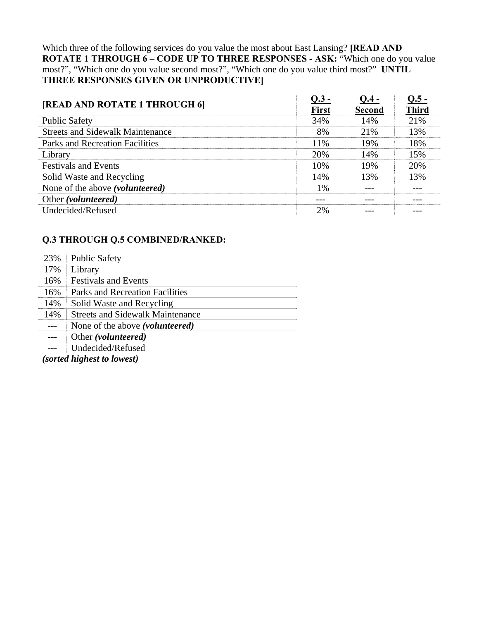Which three of the following services do you value the most about East Lansing? **[READ AND ROTATE 1 THROUGH 6 – CODE UP TO THREE RESPONSES - ASK: "Which one do you value** most?", "Which one do you value second most?", "Which one do you value third most?" **UNTIL THREE RESPONSES GIVEN OR UNPRODUCTIVE]**

| [READ AND ROTATE 1 THROUGH 6]            | $Q.3 -$<br><b>First</b> | $Q.4 -$<br><b>Second</b> | $Q.5 -$<br><b>Third</b> |
|------------------------------------------|-------------------------|--------------------------|-------------------------|
| <b>Public Safety</b>                     | 34%                     | 14%                      | 21%                     |
| <b>Streets and Sidewalk Maintenance</b>  | 8%                      | 21\%                     | 13%                     |
| Parks and Recreation Facilities          | 11%                     | 19%                      | 18%                     |
| Library                                  | 20%                     | 14%                      | 15%                     |
| <b>Festivals and Events</b>              | 10%                     | 19%                      | 20%                     |
| Solid Waste and Recycling                | 14%                     | 13%                      | 13%                     |
| None of the above ( <i>volunteered</i> ) | 1%                      |                          |                         |
| Other (volunteered)                      | ---                     |                          |                         |
| Undecided/Refused                        | 2%                      |                          |                         |

# **Q.3 THROUGH Q.5 COMBINED/RANKED:**

| 23% | <b>Public Safety</b>                     |
|-----|------------------------------------------|
| 17% | Library                                  |
| 16% | <b>Festivals and Events</b>              |
| 16% | Parks and Recreation Facilities          |
| 14% | Solid Waste and Recycling                |
| 14% | <b>Streets and Sidewalk Maintenance</b>  |
|     | None of the above ( <i>volunteered</i> ) |
|     | Other (volunteered)                      |
|     | Undecided/Refused                        |
|     | $\blacksquare$                           |

*(sorted highest to lowest)*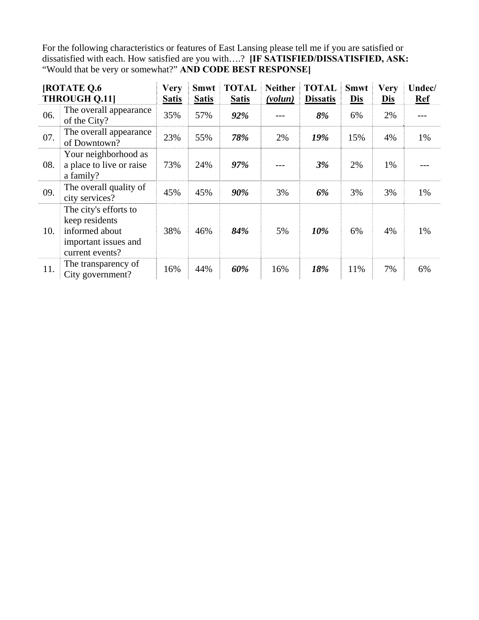For the following characteristics or features of East Lansing please tell me if you are satisfied or dissatisfied with each. How satisfied are you with….? **[IF SATISFIED/DISSATISFIED, ASK:** "Would that be very or somewhat?" **AND CODE BEST RESPONSE]**

| <b>[ROTATE Q.6</b><br><b>THROUGH Q.11]</b> |                                                                                                      | <b>Very</b><br><b>Satis</b> | <b>Smwt</b><br><b>Satis</b> | <b>TOTAL</b><br><b>Satis</b> | <b>Neither</b><br>(volun) | <b>TOTAL</b><br><b>Dissatis</b> | <b>Smwt</b><br><b>Dis</b> | <b>Very</b><br><b>Dis</b> | Undec/<br><b>Ref</b> |
|--------------------------------------------|------------------------------------------------------------------------------------------------------|-----------------------------|-----------------------------|------------------------------|---------------------------|---------------------------------|---------------------------|---------------------------|----------------------|
| 06.                                        | The overall appearance<br>of the City?                                                               | 35%                         | 57%                         | 92%                          |                           | 8%                              | 6%                        | 2%                        |                      |
| 07.                                        | The overall appearance<br>of Downtown?                                                               | 23%                         | 55%                         | 78%                          | 2%                        | 19%                             | 15%                       | 4%                        | 1%                   |
| 08.                                        | Your neighborhood as<br>a place to live or raise<br>a family?                                        | 73%                         | 24%                         | 97%                          |                           | 3%                              | 2%                        | 1%                        |                      |
| 09.                                        | The overall quality of<br>city services?                                                             | 45%                         | 45%                         | 90%                          | 3%                        | 6%                              | 3%                        | 3%                        | 1%                   |
| 10.                                        | The city's efforts to<br>keep residents<br>informed about<br>important issues and<br>current events? | 38%                         | 46%                         | 84%                          | 5%                        | 10%                             | 6%                        | 4%                        | 1%                   |
| 11.                                        | The transparency of<br>City government?                                                              | 16%                         | 44%                         | 60%                          | 16%                       | 18%                             | 11%                       | 7%                        | 6%                   |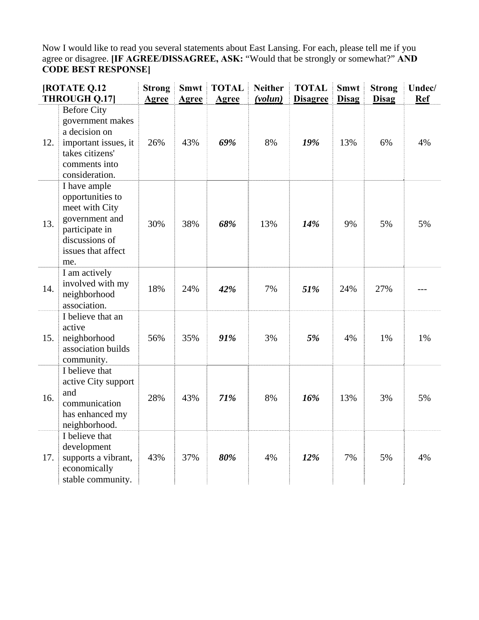Now I would like to read you several statements about East Lansing. For each, please tell me if you agree or disagree. **[IF AGREE/DISSAGREE, ASK:** "Would that be strongly or somewhat?" **AND CODE BEST RESPONSE]**

|     | <b>[ROTATE Q.12</b><br><b>THROUGH Q.17]</b>                                                                                           | <b>Strong</b><br>Agree | <b>Smwt</b><br><b>Agree</b> | <b>TOTAL</b><br><b>Agree</b> | <b>Neither</b><br>(volun) | <b>TOTAL</b><br><b>Disagree</b> | <b>Smwt</b><br><b>Disag</b> | <b>Strong</b><br><b>Disag</b> | Undec/<br><b>Ref</b> |
|-----|---------------------------------------------------------------------------------------------------------------------------------------|------------------------|-----------------------------|------------------------------|---------------------------|---------------------------------|-----------------------------|-------------------------------|----------------------|
| 12. | <b>Before City</b><br>government makes<br>a decision on<br>important issues, it<br>takes citizens'<br>comments into<br>consideration. | 26%                    | 43%                         | 69%                          | 8%                        | 19%                             | 13%                         | 6%                            | 4%                   |
| 13. | I have ample<br>opportunities to<br>meet with City<br>government and<br>participate in<br>discussions of<br>issues that affect<br>me. | 30%                    | 38%                         | 68%                          | 13%                       | 14%                             | 9%                          | 5%                            | 5%                   |
| 14. | I am actively<br>involved with my<br>neighborhood<br>association.                                                                     | 18%                    | 24%                         | 42%                          | 7%                        | 51%                             | 24%                         | 27%                           |                      |
| 15. | I believe that an<br>active<br>neighborhood<br>association builds<br>community.                                                       | 56%                    | 35%                         | 91%                          | 3%                        | 5%                              | 4%                          | 1%                            | 1%                   |
| 16. | I believe that<br>active City support<br>and<br>communication<br>has enhanced my<br>neighborhood.                                     | 28%                    | 43%                         | 71%                          | 8%                        | 16%                             | 13%                         | 3%                            | 5%                   |
| 17. | I believe that<br>development<br>supports a vibrant,<br>economically<br>stable community.                                             | 43%                    | 37%                         | 80%                          | 4%                        | 12%                             | 7%                          | 5%                            | 4%                   |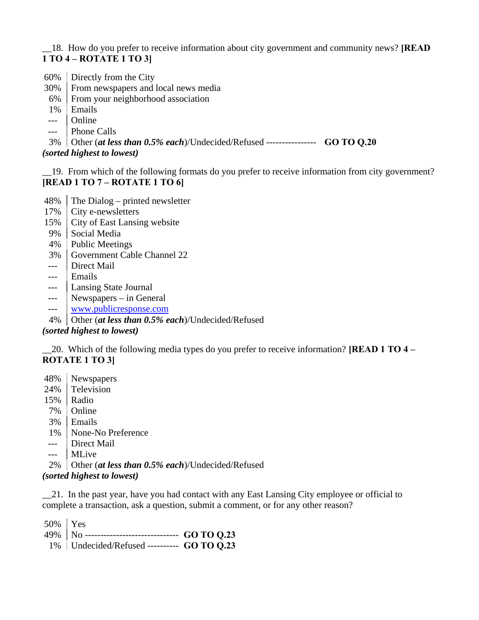## \_\_18. How do you prefer to receive information about city government and community news? **[READ 1 TO 4 – ROTATE 1 TO 3]**

- 60% Directly from the City
- 30% From newspapers and local news media
- 6% From your neighborhood association
- 1% Emails
- --- Online
- --- Phone Calls

3% Other (*at less than 0.5% each*)/Undecided/Refused ---------------- **GO TO Q.20**

*(sorted highest to lowest)* 

\_\_19. From which of the following formats do you prefer to receive information from city government? **[READ 1 TO 7 – ROTATE 1 TO 6]**

- 48% The Dialog printed newsletter
- 17% City e-newsletters
- 15% City of East Lansing website
- 9% Social Media
- 4% Public Meetings
- 3% Government Cable Channel 22
- --- Direct Mail
- --- Emails
- --- Lansing State Journal
- --- Newspapers in General
- --- www.publicresponse.com
- 4% Other (*at less than 0.5% each*)/Undecided/Refused

# *(sorted highest to lowest)*

\_\_20. Which of the following media types do you prefer to receive information? **[READ 1 TO 4 – ROTATE 1 TO 3]**

- 48% Newspapers
- 24% Television
- 15% Radio
- 7% Online
- 3% Emails
- 1% None-No Preference
- --- Direct Mail
- --- MLive
- 2% Other (*at less than 0.5% each*)/Undecided/Refused

*(sorted highest to lowest)* 

21. In the past year, have you had contact with any East Lansing City employee or official to complete a transaction, ask a question, submit a comment, or for any other reason?

| $1\%$ Undecided/Refused --------- GO TO Q.23 |  |
|----------------------------------------------|--|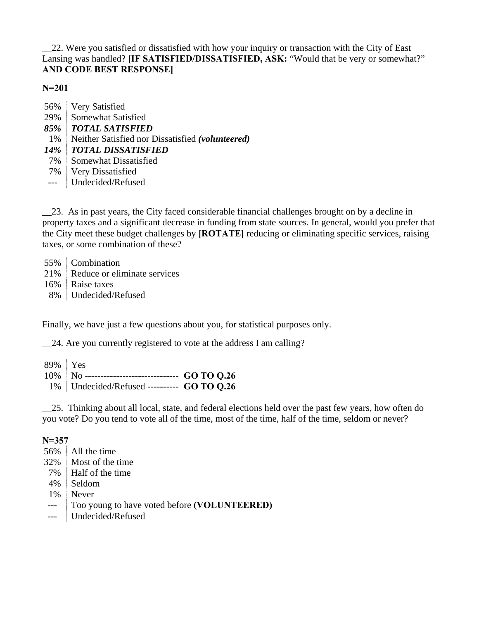\_\_22. Were you satisfied or dissatisfied with how your inquiry or transaction with the City of East Lansing was handled? **[IF SATISFIED/DISSATISFIED, ASK:** "Would that be very or somewhat?" **AND CODE BEST RESPONSE]** 

**N=201**

| 56%        | <b>Very Satisfied</b>                            |
|------------|--------------------------------------------------|
| 29%        | Somewhat Satisfied                               |
| $85\%$     | <b>TOTAL SATISFIED</b>                           |
| 1%         | Neither Satisfied nor Dissatisfied (volunteered) |
| <b>14%</b> | <b>TOTAL DISSATISFIED</b>                        |
| 7%         | Somewhat Dissatisfied                            |
| 7%         | <b>Very Dissatisfied</b>                         |
| $---$      | Undecided/Refused                                |

\_\_23. As in past years, the City faced considerable financial challenges brought on by a decline in property taxes and a significant decrease in funding from state sources. In general, would you prefer that the City meet these budget challenges by **[ROTATE]** reducing or eliminating specific services, raising taxes, or some combination of these?

55% Combination 21% Reduce or eliminate services 16% | Raise taxes 8% Undecided/Refused

Finally, we have just a few questions about you, for statistical purposes only.

\_\_24. Are you currently registered to vote at the address I am calling?

| 89%   Yes |                                                       |  |
|-----------|-------------------------------------------------------|--|
|           | $10\%$   No ------------------------------ GO TO 0.26 |  |
|           | $1\%$ Undecided/Refused --------- GO TO Q.26          |  |

\_\_25. Thinking about all local, state, and federal elections held over the past few years, how often do you vote? Do you tend to vote all of the time, most of the time, half of the time, seldom or never?

#### **N=357**

|                                 | 56%   All the time                           |
|---------------------------------|----------------------------------------------|
|                                 | 32% Most of the time                         |
|                                 | 7%   Half of the time                        |
|                                 | 4% Seldom                                    |
|                                 | 1% Never                                     |
| $\frac{1}{2}$ and $\frac{1}{2}$ | Too young to have voted before (VOLUNTEERED) |
|                                 | ---   Undecided/Refused                      |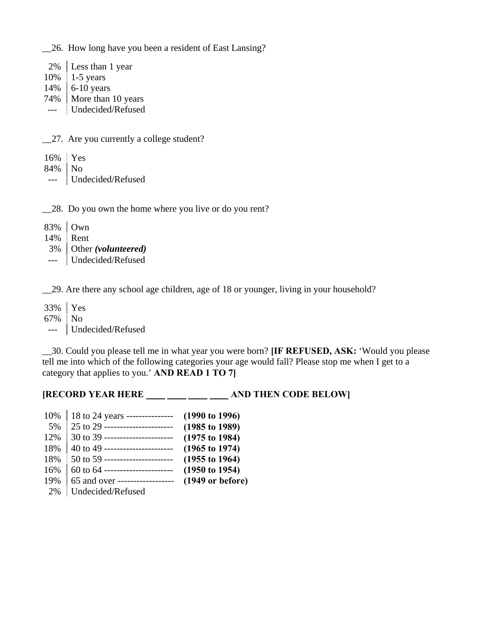\_\_26. How long have you been a resident of East Lansing?

 2% Less than 1 year 10% 1-5 years 14% 6-10 years 74% | More than 10 years --- Undecided/Refused

\_\_27. Are you currently a college student?

| 16% Yes   |                   |
|-----------|-------------------|
| $84\%$ No |                   |
|           | Undecided/Refused |

\_\_28. Do you own the home where you live or do you rent?

| 83%   Own                 |
|---------------------------|
| 14% Rent                  |
| $3\%$ Other (volunteered) |
| Undecided/Refused         |

\_\_29. Are there any school age children, age of 18 or younger, living in your household?

33% Yes 67% No --- Undecided/Refused

\_\_30. Could you please tell me in what year you were born? **[IF REFUSED, ASK:** 'Would you please tell me into which of the following categories your age would fall? Please stop me when I get to a category that applies to you.' **AND READ 1 TO 7]**

## **[RECORD YEAR HERE \_\_\_ \_\_ \_\_ \_\_ \_\_ \_\_ AND THEN CODE BELOW]**

| 10% | 18 to 24 years ---------------   | $(1990 \text{ to } 1996)$  |
|-----|----------------------------------|----------------------------|
| 5%  | 25 to 29 ----------------------  | $(1985 \text{ to } 1989)$  |
| 12% | 30 to 39 ----------------------- | $(1975 \text{ to } 1984)$  |
| 18% | 40 to 49 ----------------------- | $(1965 \text{ to } 1974)$  |
| 18% | 50 to 59 ----------------------- | $(1955 \text{ to } 1964)$  |
| 16% | 60 to 64 ----------------------- | $(1950 \text{ to } 1954)$  |
| 19% | 65 and over ------------------   | $(1949 \text{ or before})$ |
| 2%  | Undecided/Refused                |                            |